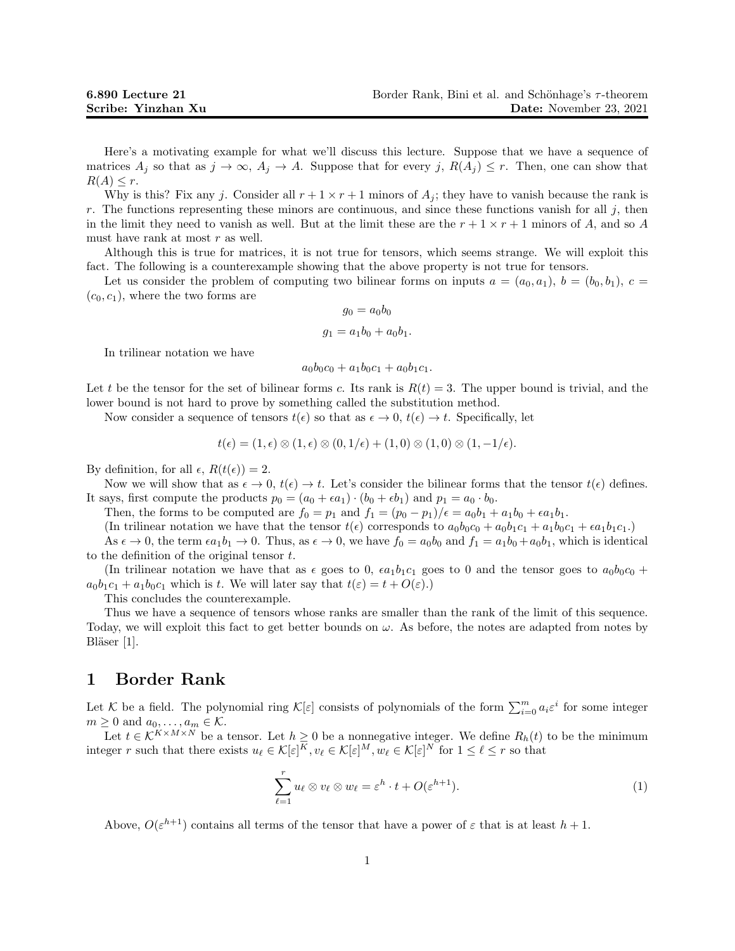Here's a motivating example for what we'll discuss this lecture. Suppose that we have a sequence of matrices  $A_j$  so that as  $j \to \infty$ ,  $A_j \to A$ . Suppose that for every j,  $R(A_j) \leq r$ . Then, one can show that  $R(A) \leq r$ .

Why is this? Fix any j. Consider all  $r + 1 \times r + 1$  minors of  $A_i$ ; they have to vanish because the rank is r. The functions representing these minors are continuous, and since these functions vanish for all  $j$ , then in the limit they need to vanish as well. But at the limit these are the  $r + 1 \times r + 1$  minors of A, and so A must have rank at most  $r$  as well.

Although this is true for matrices, it is not true for tensors, which seems strange. We will exploit this fact. The following is a counterexample showing that the above property is not true for tensors.

Let us consider the problem of computing two bilinear forms on inputs  $a = (a_0, a_1), b = (b_0, b_1), c =$  $(c_0, c_1)$ , where the two forms are

$$
g_0 = a_0 b_0
$$
  

$$
g_1 = a_1 b_0 + a_0 b_1.
$$

In trilinear notation we have

 $a_0b_0c_0 + a_1b_0c_1 + a_0b_1c_1$ .

Let t be the tensor for the set of bilinear forms c. Its rank is  $R(t) = 3$ . The upper bound is trivial, and the lower bound is not hard to prove by something called the substitution method.

Now consider a sequence of tensors  $t(\epsilon)$  so that as  $\epsilon \to 0$ ,  $t(\epsilon) \to t$ . Specifically, let

$$
t(\epsilon) = (1, \epsilon) \otimes (1, \epsilon) \otimes (0, 1/\epsilon) + (1, 0) \otimes (1, 0) \otimes (1, -1/\epsilon).
$$

By definition, for all  $\epsilon$ ,  $R(t(\epsilon)) = 2$ .

Now we will show that as  $\epsilon \to 0$ ,  $t(\epsilon) \to t$ . Let's consider the bilinear forms that the tensor  $t(\epsilon)$  defines. It says, first compute the products  $p_0 = (a_0 + \epsilon a_1) \cdot (b_0 + \epsilon b_1)$  and  $p_1 = a_0 \cdot b_0$ .

Then, the forms to be computed are  $f_0 = p_1$  and  $f_1 = (p_0 - p_1)/\epsilon = a_0b_1 + a_1b_0 + \epsilon a_1b_1$ .

(In trilinear notation we have that the tensor  $t(\epsilon)$  corresponds to  $a_0b_0c_0 + a_0b_1c_1 + a_1b_0c_1 + \epsilon a_1b_1c_1$ .)

As  $\epsilon \to 0$ , the term  $\epsilon a_1b_1 \to 0$ . Thus, as  $\epsilon \to 0$ , we have  $f_0 = a_0b_0$  and  $f_1 = a_1b_0 + a_0b_1$ , which is identical to the definition of the original tensor  $t$ .

(In trilinear notation we have that as  $\epsilon$  goes to 0,  $\epsilon a_1b_1c_1$  goes to 0 and the tensor goes to  $a_0b_0c_0$  +  $a_0b_1c_1 + a_1b_0c_1$  which is t. We will later say that  $t(\varepsilon) = t + O(\varepsilon)$ .

This concludes the counterexample.

Thus we have a sequence of tensors whose ranks are smaller than the rank of the limit of this sequence. Today, we will exploit this fact to get better bounds on  $\omega$ . As before, the notes are adapted from notes by Bläser [1].

### 1 Border Rank

Let K be a field. The polynomial ring  $\mathcal{K}[\varepsilon]$  consists of polynomials of the form  $\sum_{i=0}^{m} a_i \varepsilon^i$  for some integer  $m \geq 0$  and  $a_0, \ldots, a_m \in \mathcal{K}$ .

Let  $t \in \mathcal{K}^{K \times M \times N}$  be a tensor. Let  $h \geq 0$  be a nonnegative integer. We define  $R_h(t)$  to be the minimum integer r such that there exists  $u_\ell \in \mathcal{K}[\varepsilon]^K, v_\ell \in \mathcal{K}[\varepsilon]^M, w_\ell \in \mathcal{K}[\varepsilon]^N$  for  $1 \leq \ell \leq r$  so that

$$
\sum_{\ell=1}^r u_\ell \otimes v_\ell \otimes w_\ell = \varepsilon^h \cdot t + O(\varepsilon^{h+1}).\tag{1}
$$

Above,  $O(\varepsilon^{h+1})$  contains all terms of the tensor that have a power of  $\varepsilon$  that is at least  $h+1$ .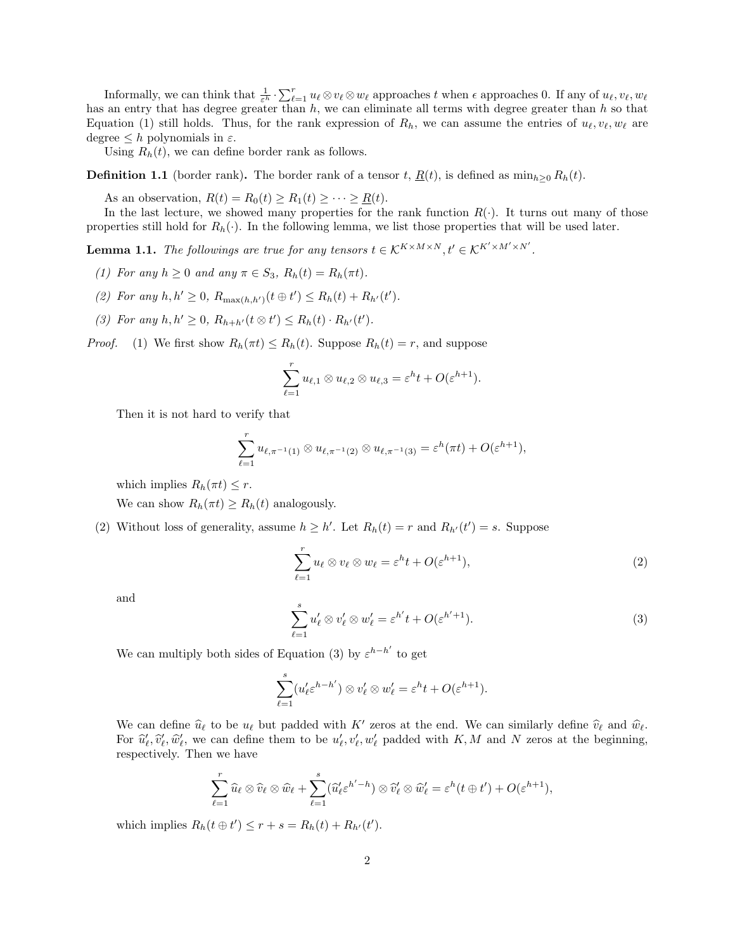Informally, we can think that  $\frac{1}{\varepsilon^h} \cdot \sum_{\ell=1}^r u_\ell \otimes v_\ell \otimes w_\ell$  approaches t when  $\epsilon$  approaches 0. If any of  $u_\ell, v_\ell, w_\ell$ has an entry that has degree greater than  $h$ , we can eliminate all terms with degree greater than  $h$  so that Equation (1) still holds. Thus, for the rank expression of  $R_h$ , we can assume the entries of  $u_\ell, v_\ell, w_\ell$  are degree  $\leq h$  polynomials in  $\varepsilon$ .

Using  $R_h(t)$ , we can define border rank as follows.

**Definition 1.1** (border rank). The border rank of a tensor t,  $\underline{R}(t)$ , is defined as  $\min_{h\geq 0} R_h(t)$ .

As an observation,  $R(t) = R_0(t) \ge R_1(t) \ge \cdots \ge R(t)$ .

In the last lecture, we showed many properties for the rank function  $R(\cdot)$ . It turns out many of those properties still hold for  $R_h(\cdot)$ . In the following lemma, we list those properties that will be used later.

**Lemma 1.1.** The followings are true for any tensors  $t \in \mathcal{K}^{K \times M \times N}$ ,  $t' \in \mathcal{K}^{K' \times M' \times N'}$ .

- (1) For any  $h \geq 0$  and any  $\pi \in S_3$ ,  $R_h(t) = R_h(\pi t)$ .
- (2) For any  $h, h' \geq 0$ ,  $R_{\max(h, h')}(t \oplus t') \leq R_h(t) + R_{h'}(t')$ .
- (3) For any  $h, h' \geq 0$ ,  $R_{h+h'}(t \otimes t') \leq R_h(t) \cdot R_{h'}(t')$ .

*Proof.* (1) We first show  $R_h(\pi t) \le R_h(t)$ . Suppose  $R_h(t) = r$ , and suppose

$$
\sum_{\ell=1}^r u_{\ell,1}\otimes u_{\ell,2}\otimes u_{\ell,3}=\varepsilon^h t+O(\varepsilon^{h+1}).
$$

Then it is not hard to verify that

$$
\sum_{\ell=1}^r u_{\ell,\pi^{-1}(1)} \otimes u_{\ell,\pi^{-1}(2)} \otimes u_{\ell,\pi^{-1}(3)} = \varepsilon^h(\pi t) + O(\varepsilon^{h+1}),
$$

which implies  $R_h(\pi t) \leq r$ .

We can show  $R_h(\pi t) \geq R_h(t)$  analogously.

(2) Without loss of generality, assume  $h \geq h'$ . Let  $R_h(t) = r$  and  $R_{h'}(t') = s$ . Suppose

$$
\sum_{\ell=1}^r u_\ell \otimes v_\ell \otimes w_\ell = \varepsilon^h t + O(\varepsilon^{h+1}),\tag{2}
$$

and

$$
\sum_{\ell=1}^{s} u_{\ell}' \otimes v_{\ell}' \otimes w_{\ell}' = \varepsilon^{h'} t + O(\varepsilon^{h'+1}).
$$
\n(3)

We can multiply both sides of Equation (3) by  $\varepsilon^{h-h'}$  to get

$$
\sum_{\ell=1}^s (u'_\ell \varepsilon^{h-h'}) \otimes v'_\ell \otimes w'_\ell = \varepsilon^h t + O(\varepsilon^{h+1}).
$$

We can define  $\hat{u}_{\ell}$  to be  $u_{\ell}$  but padded with K' zeros at the end. We can similarly define  $\hat{v}_{\ell}$  and  $\hat{w}_{\ell}$ .<br>For  $\hat{u}'$ ,  $\hat{u}'$ , we can define them to be  $u'$ ,  $v'$ ,  $w'$  padded with K, M and N zeros a For  $\hat{u}'_l, \hat{v}'_l, \hat{w}'_l$ , we can define them to be  $u'_l, v'_l, w'_l$  padded with K, M and N zeros at the beginning, respectively. Then we have

$$
\sum_{\ell=1}^r \widehat{u}_{\ell} \otimes \widehat{v}_{\ell} \otimes \widehat{w}_{\ell} + \sum_{\ell=1}^s (\widehat{u}'_{\ell} \varepsilon^{h'-h}) \otimes \widehat{v}'_{\ell} \otimes \widehat{w}'_{\ell} = \varepsilon^h(t \oplus t') + O(\varepsilon^{h+1}),
$$

which implies  $R_h(t \oplus t') \leq r + s = R_h(t) + R_{h'}(t')$ .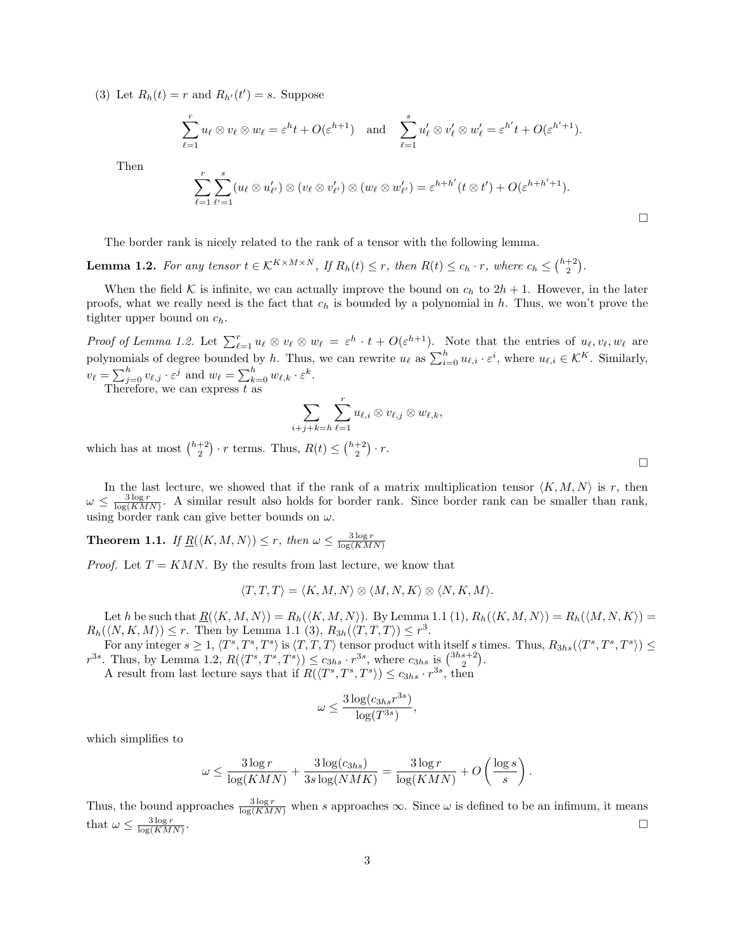(3) Let  $R_h(t) = r$  and  $R_{h'}(t') = s$ . Suppose

$$
\sum_{\ell=1}^r u_\ell \otimes v_\ell \otimes w_\ell = \varepsilon^h t + O(\varepsilon^{h+1}) \quad \text{and} \quad \sum_{\ell=1}^s u'_\ell \otimes v'_\ell \otimes w'_\ell = \varepsilon^{h'} t + O(\varepsilon^{h'+1}).
$$

Then

$$
\sum_{\ell=1}^r\sum_{\ell'=1}^s (u_\ell\otimes u'_{\ell'})\otimes (v_\ell\otimes v'_{\ell'})\otimes (w_\ell\otimes w'_{\ell'})=\varepsilon^{h+h'}(t\otimes t')+O(\varepsilon^{h+h'+1}).
$$

The border rank is nicely related to the rank of a tensor with the following lemma.

**Lemma 1.2.** For any tensor  $t \in K^{K \times M \times N}$ , If  $R_h(t) \leq r$ , then  $R(t) \leq c_h \cdot r$ , where  $c_h \leq {h+2 \choose 2}$ .

When the field K is infinite, we can actually improve the bound on  $c_h$  to  $2h + 1$ . However, in the later proofs, what we really need is the fact that  $c_h$  is bounded by a polynomial in h. Thus, we won't prove the tighter upper bound on  $c_h$ .

Proof of Lemma 1.2. Let  $\sum_{\ell=1}^r u_\ell \otimes v_\ell \otimes w_\ell = \varepsilon^h \cdot t + O(\varepsilon^{h+1})$ . Note that the entries of  $u_\ell, v_\ell, w_\ell$  are polynomials of degree bounded by h. Thus, we can rewrite  $u_{\ell}$  as  $\sum_{i=0}^{h} u_{\ell,i} \cdot \varepsilon^i$ , where  $u_{\ell,i} \in \mathcal{K}^K$ . Similarly,  $v_{\ell} = \sum_{j=0}^{h} v_{\ell,j} \cdot \varepsilon^{j}$  and  $w_{\ell} = \sum_{k=0}^{h} w_{\ell,k} \cdot \varepsilon^{k}$ . Therefore, we can express  $t$  as

$$
\sum_{i+j+k=h}\sum_{\ell=1}^r u_{\ell,i}\otimes v_{\ell,j}\otimes w_{\ell,k},
$$

which has at most  $\binom{h+2}{2} \cdot r$  terms. Thus,  $R(t) \leq \binom{h+2}{2} \cdot r$ .

In the last lecture, we showed that if the rank of a matrix multiplication tensor  $\langle K, M, N \rangle$  is r, then  $\omega \leq \frac{3 \log r}{\log(KMN)}$ . A similar result also holds for border rank. Since border rank can be smaller than rank, using border rank can give better bounds on  $\omega$ .

**Theorem 1.1.** If  $\underline{R}(\langle K, M, N \rangle) \leq r$ , then  $\omega \leq \frac{3 \log r}{\log(KMN)}$ 

*Proof.* Let  $T = KMN$ . By the results from last lecture, we know that

$$
\langle T, T, T \rangle = \langle K, M, N \rangle \otimes \langle M, N, K \rangle \otimes \langle N, K, M \rangle.
$$

Let h be such that  $\underline{R}(\langle K, M, N \rangle) = R_h(\langle K, M, N \rangle)$ . By Lemma 1.1 (1),  $R_h(\langle K, M, N \rangle) = R_h(\langle M, N, K \rangle)$  $R_h(\langle N, K, M \rangle) \leq r$ . Then by Lemma 1.1 (3),  $R_{3h}(\langle T, T, T \rangle) \leq r^3$ .

For any integer  $s \geq 1$ ,  $\langle T^s, T^s, T^s \rangle$  is  $\langle T, T, T \rangle$  tensor product with itself s times. Thus,  $R_{3hs}(\langle T^s, T^s, T^s \rangle) \leq$  $r^{3s}$ . Thus, by Lemma 1.2,  $R(\langle T^s, T^s, T^s \rangle) \leq c_{3hs} \cdot r^{3s}$ , where  $c_{3hs}$  is  $\binom{3hs+2}{2}$ .

A result from last lecture says that if  $R(\langle T^s, T^s, T^s \rangle) \leq c_{3hs} \cdot r^{3s}$ , then

$$
\omega \le \frac{3\log(c_{3hs}r^{3s})}{\log(T^{3s})},
$$

which simplifies to

$$
\omega \le \frac{3\log r}{\log(KMN)} + \frac{3\log(c_{3hs})}{3s\log(NMK)} = \frac{3\log r}{\log(KMN)} + O\left(\frac{\log s}{s}\right).
$$

Thus, the bound approaches  $\frac{3 \log r}{\log(KMN)}$  when s approaches  $\infty$ . Since  $\omega$  is defined to be an infimum, it means that  $\omega \leq \frac{3 \log r}{\log(KMN)}$ .

 $\Box$ 

 $\Box$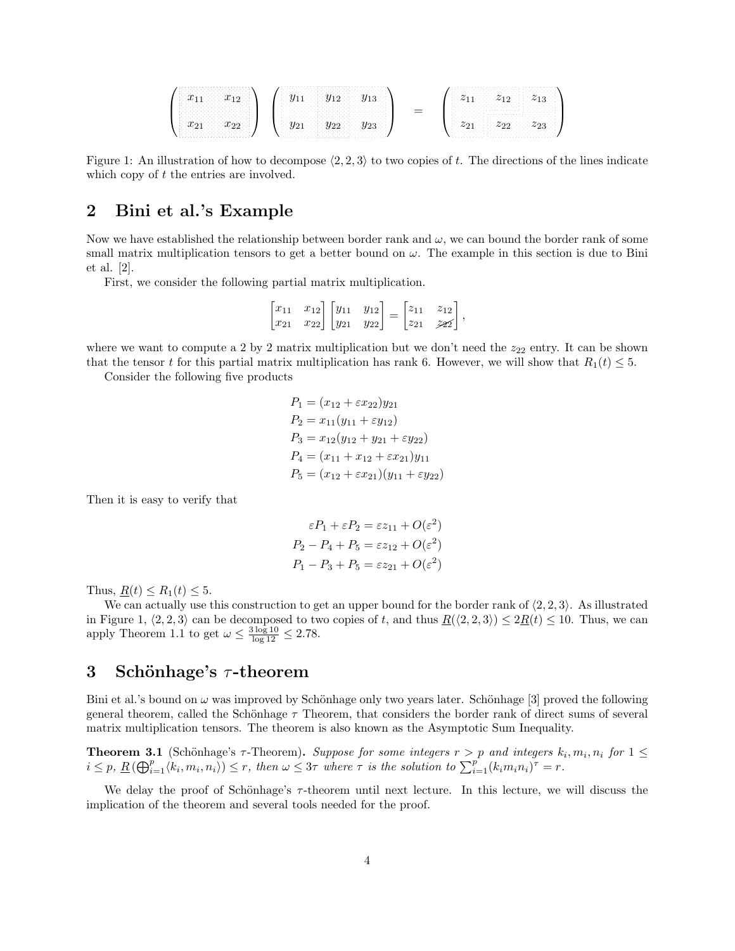|    |                                        | ŦΩ          | $\sim$<br>$\gamma_{10}$<br>上口<br>ハンハン ハンハンド |
|----|----------------------------------------|-------------|---------------------------------------------|
| -- | $\sigma$ 44<br>$\overline{\mathbf{v}}$ | $\sigma$ 20 | .<br>oo<br>د∠'<br>--                        |

Figure 1: An illustration of how to decompose  $\langle 2, 2, 3 \rangle$  to two copies of t. The directions of the lines indicate which copy of t the entries are involved.

# 2 Bini et al.'s Example

Now we have established the relationship between border rank and  $\omega$ , we can bound the border rank of some small matrix multiplication tensors to get a better bound on  $\omega$ . The example in this section is due to Bini et al. [2].

First, we consider the following partial matrix multiplication.

|  |  |  | $\begin{bmatrix} x_{11} & x_{12} \\ x_{21} & x_{22} \end{bmatrix} \begin{bmatrix} y_{11} & y_{12} \\ y_{21} & y_{22} \end{bmatrix} = \begin{bmatrix} z_{11} & z_{12} \\ z_{21} & z_{22} \end{bmatrix}$ , |  |
|--|--|--|----------------------------------------------------------------------------------------------------------------------------------------------------------------------------------------------------------|--|
|  |  |  |                                                                                                                                                                                                          |  |

where we want to compute a 2 by 2 matrix multiplication but we don't need the  $z_{22}$  entry. It can be shown that the tensor t for this partial matrix multiplication has rank 6. However, we will show that  $R_1(t) \leq 5$ .

Consider the following five products

 $P_1 = (x_{12} + \varepsilon x_{22})y_{21}$  $P_2 = x_{11}(y_{11} + \varepsilon y_{12})$  $P_3 = x_{12}(y_{12} + y_{21} + \varepsilon y_{22})$  $P_4 = (x_{11} + x_{12} + \varepsilon x_{21})y_{11}$  $P_5 = (x_{12} + \varepsilon x_{21})(y_{11} + \varepsilon y_{22})$ 

Then it is easy to verify that

$$
\varepsilon P_1 + \varepsilon P_2 = \varepsilon z_{11} + O(\varepsilon^2)
$$
  
\n
$$
P_2 - P_4 + P_5 = \varepsilon z_{12} + O(\varepsilon^2)
$$
  
\n
$$
P_1 - P_3 + P_5 = \varepsilon z_{21} + O(\varepsilon^2)
$$

Thus,  $R(t) \leq R_1(t) \leq 5$ .

We can actually use this construction to get an upper bound for the border rank of  $\langle 2, 2, 3 \rangle$ . As illustrated in Figure 1,  $\langle 2, 2, 3 \rangle$  can be decomposed to two copies of t, and thus  $\underline{R}(\langle 2, 2, 3 \rangle) \leq 2\underline{R}(t) \leq 10$ . Thus, we can apply Theorem 1.1 to get  $\omega \leq \frac{3 \log 10}{\log 12} \leq 2.78$ .

### 3 Schönhage's  $\tau$ -theorem

Bini et al.'s bound on  $\omega$  was improved by Schönhage only two years later. Schönhage [3] proved the following general theorem, called the Schönhage  $\tau$  Theorem, that considers the border rank of direct sums of several matrix multiplication tensors. The theorem is also known as the Asymptotic Sum Inequality.

**Theorem 3.1** (Schönhage's  $\tau$ -Theorem). Suppose for some integers  $r > p$  and integers  $k_i, m_i, n_i$  for  $1 \leq$  $i \leq p$ ,  $\underline{R}(\bigoplus_{i=1}^p \langle k_i, m_i, n_i \rangle) \leq r$ , then  $\omega \leq 3\tau$  where  $\tau$  is the solution to  $\sum_{i=1}^p (k_i m_i n_i)^{\tau} = r$ .

We delay the proof of Schönhage's τ-theorem until next lecture. In this lecture, we will discuss the implication of the theorem and several tools needed for the proof.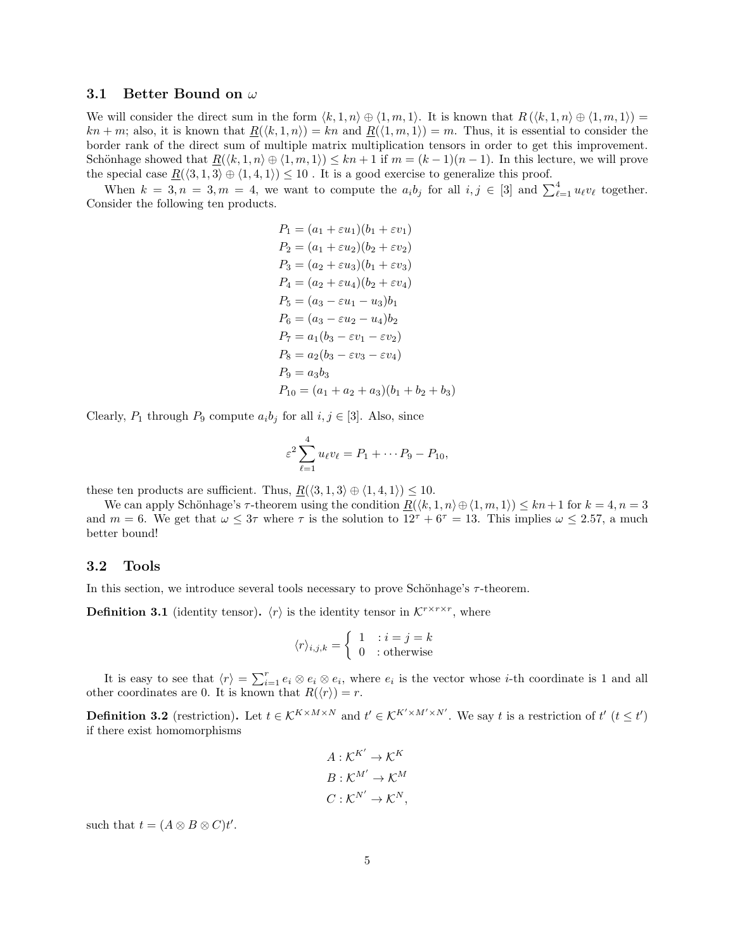#### 3.1 Better Bound on  $\omega$

We will consider the direct sum in the form  $\langle k, 1, n \rangle \oplus \langle 1, m, 1 \rangle$ . It is known that  $R(\langle k, 1, n \rangle \oplus \langle 1, m, 1 \rangle)$  $kn + m$ ; also, it is known that  $R(\langle k, 1, n \rangle) = kn$  and  $R(\langle 1, m, 1 \rangle) = m$ . Thus, it is essential to consider the border rank of the direct sum of multiple matrix multiplication tensors in order to get this improvement. Schönhage showed that  $R(\langle k, 1, n \rangle \oplus \langle 1, m, 1 \rangle) \leq kn + 1$  if  $m = (k - 1)(n - 1)$ . In this lecture, we will prove the special case  $\underline{R}(\langle 3, 1, 3 \rangle \oplus \langle 1, 4, 1 \rangle) \leq 10$ . It is a good exercise to generalize this proof.

When  $k = 3, n = 3, m = 4$ , we want to compute the  $a_i b_j$  for all  $i, j \in [3]$  and  $\sum_{\ell=1}^4 u_{\ell} v_{\ell}$  together. Consider the following ten products.

$$
P_1 = (a_1 + \varepsilon u_1)(b_1 + \varepsilon v_1)
$$
  
\n
$$
P_2 = (a_1 + \varepsilon u_2)(b_2 + \varepsilon v_2)
$$
  
\n
$$
P_3 = (a_2 + \varepsilon u_3)(b_1 + \varepsilon v_3)
$$
  
\n
$$
P_4 = (a_2 + \varepsilon u_4)(b_2 + \varepsilon v_4)
$$
  
\n
$$
P_5 = (a_3 - \varepsilon u_1 - u_3)b_1
$$
  
\n
$$
P_6 = (a_3 - \varepsilon u_2 - u_4)b_2
$$
  
\n
$$
P_7 = a_1(b_3 - \varepsilon v_1 - \varepsilon v_2)
$$
  
\n
$$
P_8 = a_2(b_3 - \varepsilon v_3 - \varepsilon v_4)
$$
  
\n
$$
P_9 = a_3b_3
$$
  
\n
$$
P_{10} = (a_1 + a_2 + a_3)(b_1 + b_2 + b_3)
$$

Clearly,  $P_1$  through  $P_9$  compute  $a_i b_j$  for all  $i, j \in [3]$ . Also, since

$$
\varepsilon^2 \sum_{\ell=1}^4 u_{\ell} v_{\ell} = P_1 + \cdots P_9 - P_{10},
$$

these ten products are sufficient. Thus,  $R(\langle 3, 1, 3 \rangle \oplus \langle 1, 4, 1 \rangle) \leq 10$ .

We can apply Schönhage's  $\tau$ -theorem using the condition  $R(\langle k, 1, n \rangle \oplus \langle 1, m, 1 \rangle) \leq kn+1$  for  $k=4, n=3$ and  $m = 6$ . We get that  $\omega \leq 3\tau$  where  $\tau$  is the solution to  $12^{\tau} + 6^{\tau} = 13$ . This implies  $\omega \leq 2.57$ , a much better bound!

#### 3.2 Tools

In this section, we introduce several tools necessary to prove Schönhage's  $\tau$ -theorem.

**Definition 3.1** (identity tensor).  $\langle r \rangle$  is the identity tensor in  $\mathcal{K}^{r \times r \times r}$ , where

$$
\langle r \rangle_{i,j,k} = \begin{cases} 1 & : i = j = k \\ 0 & : \text{otherwise} \end{cases}
$$

It is easy to see that  $\langle r \rangle = \sum_{i=1}^r e_i \otimes e_i \otimes e_i$ , where  $e_i$  is the vector whose *i*-th coordinate is 1 and all other coordinates are 0. It is known that  $R(\langle r \rangle) = r$ .

**Definition 3.2** (restriction). Let  $t \in K^{K \times M \times N}$  and  $t' \in K^{K' \times M' \times N'}$ . We say t is a restriction of  $t'$   $(t \leq t')$ if there exist homomorphisms

$$
A: \mathcal{K}^{K'} \to \mathcal{K}^{K}
$$

$$
B: \mathcal{K}^{M'} \to \mathcal{K}^{M}
$$

$$
C: \mathcal{K}^{N'} \to \mathcal{K}^{N},
$$

such that  $t = (A \otimes B \otimes C)t'$ .